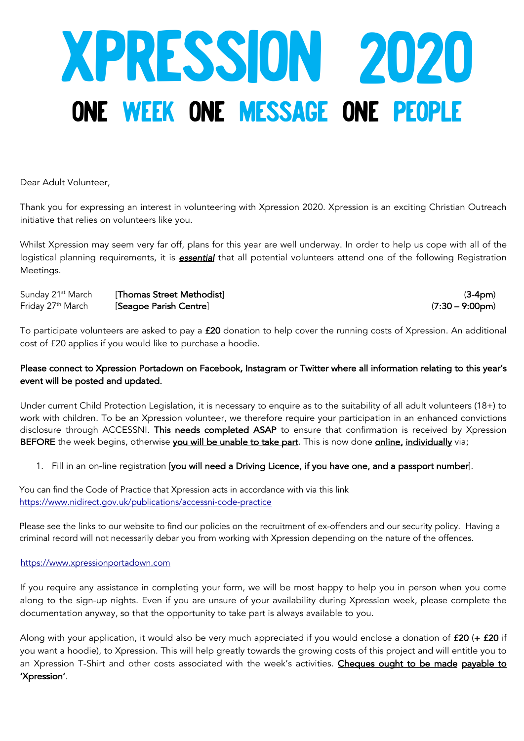# XPRESSION 2020 ONE WEEK ONE MESSAGE ONE PEOPLE

Dear Adult Volunteer,

Thank you for expressing an interest in volunteering with Xpression 2020. Xpression is an exciting Christian Outreach initiative that relies on volunteers like you.

Whilst Xpression may seem very far off, plans for this year are well underway. In order to help us cope with all of the logistical planning requirements, it is *essential* that all potential volunteers attend one of the following Registration Meetings.

| Sunday 21 <sup>st</sup> March | [Thomas Street Methodist] | (3-4pm)                   |
|-------------------------------|---------------------------|---------------------------|
| Friday 27 <sup>th</sup> March | [Seagoe Parish Centre]    | $(7:30 - 9:00 \text{pm})$ |

To participate volunteers are asked to pay a £20 donation to help cover the running costs of Xpression. An additional cost of £20 applies if you would like to purchase a hoodie.

#### Please connect to Xpression Portadown on Facebook, Instagram or Twitter where all information relating to this year's event will be posted and updated.

Under current Child Protection Legislation, it is necessary to enquire as to the suitability of all adult volunteers (18+) to work with children. To be an Xpression volunteer, we therefore require your participation in an enhanced convictions disclosure through ACCESSNI. This needs completed ASAP to ensure that confirmation is received by Xpression BEFORE the week begins, otherwise you will be unable to take part. This is now done online, individually via;

#### 1. Fill in an on-line registration [you will need a Driving Licence, if you have one, and a passport number].

You can find the Code of Practice that Xpression acts in accordance with via this link https://www.nidirect.gov.uk/publications/accessni-code-practice

Please see the links to our website to find our policies on the recruitment of ex-offenders and our security policy. Having a criminal record will not necessarily debar you from working with Xpression depending on the nature of the offences.

#### https://www.xpressionportadown.com

If you require any assistance in completing your form, we will be most happy to help you in person when you come along to the sign-up nights. Even if you are unsure of your availability during Xpression week, please complete the documentation anyway, so that the opportunity to take part is always available to you.

Along with your application, it would also be very much appreciated if you would enclose a donation of £20 (+ £20 if you want a hoodie), to Xpression. This will help greatly towards the growing costs of this project and will entitle you to an Xpression T-Shirt and other costs associated with the week's activities. Cheques ought to be made payable to 'Xpression'.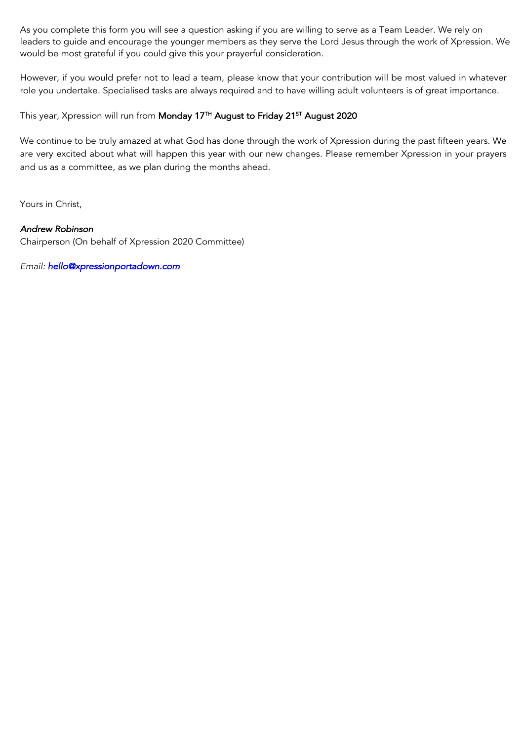As you complete this form you will see a question asking if you are willing to serve as a Team Leader. We rely on leaders to guide and encourage the younger members as they serve the Lord Jesus through the work of Xpression. We would be most grateful if you could give this your prayerful consideration.

However, if you would prefer not to lead a team, please know that your contribution will be most valued in whatever role you undertake. Specialised tasks are always required and to have willing adult volunteers is of great importance.

This year, Xpression will run from Monday 17<sup>TH</sup> August to Friday 21<sup>ST</sup> August 2020

We continue to be truly amazed at what God has done through the work of Xpression during the past fifteen years. We are very excited about what will happen this year with our new changes. Please remember Xpression in your prayers and us as a committee, as we plan during the months ahead.

Yours in Christ,

#### *Andrew Robinson*

Chairperson (On behalf of Xpression 2020 Committee)

*Email: hello@xpressionportadown.com*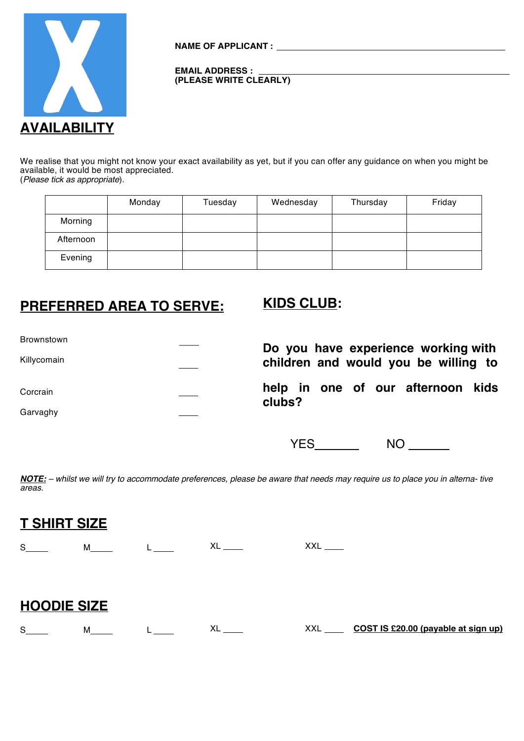

**NAME OF APPLICANT :**

#### **EMAIL ADDRESS : (PLEASE WRITE CLEARLY)**

We realise that you might not know your exact availability as yet, but if you can offer any guidance on when you might be available, it would be most appreciated. (*Please tick as appropriate*).

|           | Monday | Tuesday | Wednesday | Thursday | Friday |
|-----------|--------|---------|-----------|----------|--------|
| Morning   |        |         |           |          |        |
| Afternoon |        |         |           |          |        |
| Evening   |        |         |           |          |        |

# **PREFERRED AREA TO SERVE: KIDS CLUB:**

| Brownstown  | Do you have experience working with         |
|-------------|---------------------------------------------|
| Killycomain | children and would you be willing to        |
| Corcrain    | help in one of our afternoon kids<br>clubs? |
| Garvaghy    |                                             |

YES\_\_\_\_\_\_\_\_ NO \_\_\_\_\_\_\_

*NOTE: – whilst we will try to accommodate preferences, please be aware that needs may require us to place you in alterna- tive areas.*

| <b>T SHIRT SIZE</b> |                 |                       |                        |                                     |
|---------------------|-----------------|-----------------------|------------------------|-------------------------------------|
| $S \qquad \qquad$   | M               | $XL$ <sub>_____</sub> | $XXL$ <sub>_____</sub> |                                     |
|                     |                 |                       |                        |                                     |
| <b>HOODIE SIZE</b>  |                 |                       |                        |                                     |
| $S \qquad \qquad$   | M <sub>ar</sub> | $XL$ <sub>_____</sub> | XXL                    | COST IS £20.00 (payable at sign up) |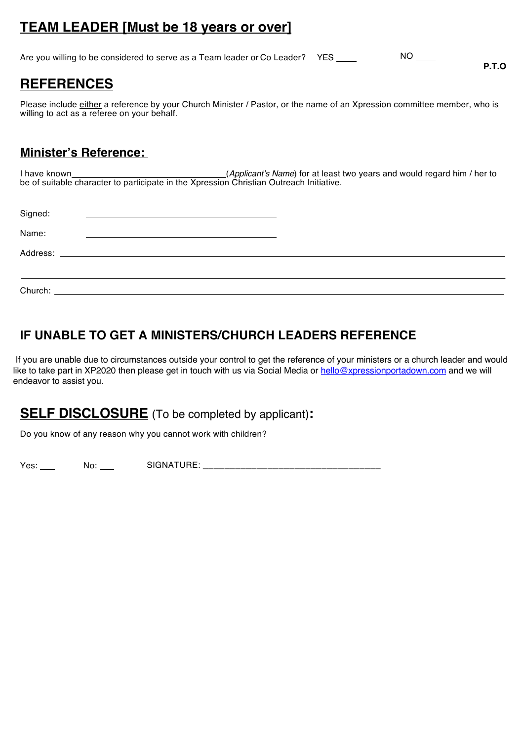# **TEAM LEADER [Must be 18 years or over]**

Are you willing to be considered to serve as a Team leader or Co Leader? YES \_\_\_\_\_\_\_\_\_\_\_\_\_\_\_\_\_\_\_\_\_\_\_\_\_\_\_\_\_\_\_\_\_

# **REFERENCES**

Please include either a reference by your Church Minister / Pastor, or the name of an Xpression committee member, who is willing to act as a referee on your behalf.

**P.T.O**

# **Minister's Reference:**

I have known (*Applicant's Name*) for at least two years and would regard him / her to be of suitable character to participate in the Xpression Christian Outreach Initiative.

| Signed: | <u> 1989 - Johann John Stone, markin film yn y brening yn y brening yn y brening y brening yn y brening yn y bre</u>                                                                                                           |  |
|---------|--------------------------------------------------------------------------------------------------------------------------------------------------------------------------------------------------------------------------------|--|
| Name:   | <u> 1980 - Jan Samuel Barbara, martin da shekara tsara 1980 - An tsara 1980 - An tsara 1980 - An tsara 1980 - An</u>                                                                                                           |  |
|         |                                                                                                                                                                                                                                |  |
|         |                                                                                                                                                                                                                                |  |
|         | Church: University of the Church Church and the Church Church Church and the Church Church Church Church and the Church Church Church Church Church Church Church Church Church Church Church Church Church Church Church Chur |  |

# **IF UNABLE TO GET A MINISTERS/CHURCH LEADERS REFERENCE**

If you are unable due to circumstances outside your control to get the reference of your ministers or a church leader and would like to take part in XP2020 then please get in touch with us via Social Media or hello@xpressionportadown.com and we will endeavor to assist you.

# **SELF DISCLOSURE** (To be completed by applicant)**:**

Do you know of any reason why you cannot work with children?

Yes: No: SIGNATURE: \_\_\_\_\_\_\_\_\_\_\_\_\_\_\_\_\_\_\_\_\_\_\_\_\_\_\_\_\_\_\_\_\_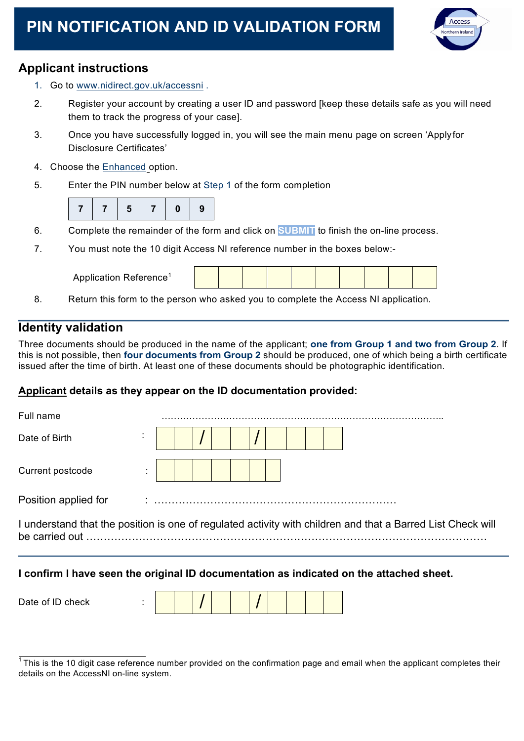# **PIN NOTIFICATION AND ID VALIDATION FORM**



# **Applicant instructions**

- 1. Go to www.nidirect.gov.uk/accessni .
- 2. Register your account by creating a user ID and password [keep these details safe as you will need them to track the progress of your case].
- 3. Once you have successfully logged in, you will see the main menu page on screen 'Applyfor Disclosure Certificates'
- 4. Choose the Enhanced option.
- 5. Enter the PIN number below at Step 1 of the form completion



- 6. Complete the remainder of the form and click on **SUBMIT** to finish the on-line process.
- 7. You must note the 10 digit Access NI reference number in the boxes below:-

Application Reference1

8. Return this form to the person who asked you to complete the Access NI application.

# **Identity validation**

Three documents should be produced in the name of the applicant; **one from Group 1 and two from Group 2**. If this is not possible, then **four documents from Group 2** should be produced, one of which being a birth certificate issued after the time of birth. At least one of these documents should be photographic identification.

## **Applicant details as they appear on the ID documentation provided:**

| Full name            |  |  |  |  |  |                                                                                                             |
|----------------------|--|--|--|--|--|-------------------------------------------------------------------------------------------------------------|
| Date of Birth        |  |  |  |  |  |                                                                                                             |
| Current postcode     |  |  |  |  |  |                                                                                                             |
| Position applied for |  |  |  |  |  |                                                                                                             |
|                      |  |  |  |  |  | I understand that the position is one of regulated activity with children and that a Barred List Check will |
|                      |  |  |  |  |  |                                                                                                             |

## **I confirm I have seen the original ID documentation as indicated on the attached sheet.**

| Date of ID check |  |  |  |  |  |
|------------------|--|--|--|--|--|
|                  |  |  |  |  |  |

 $1$ This is the 10 digit case reference number provided on the confirmation page and email when the applicant completes their details on the AccessNI on-line system.